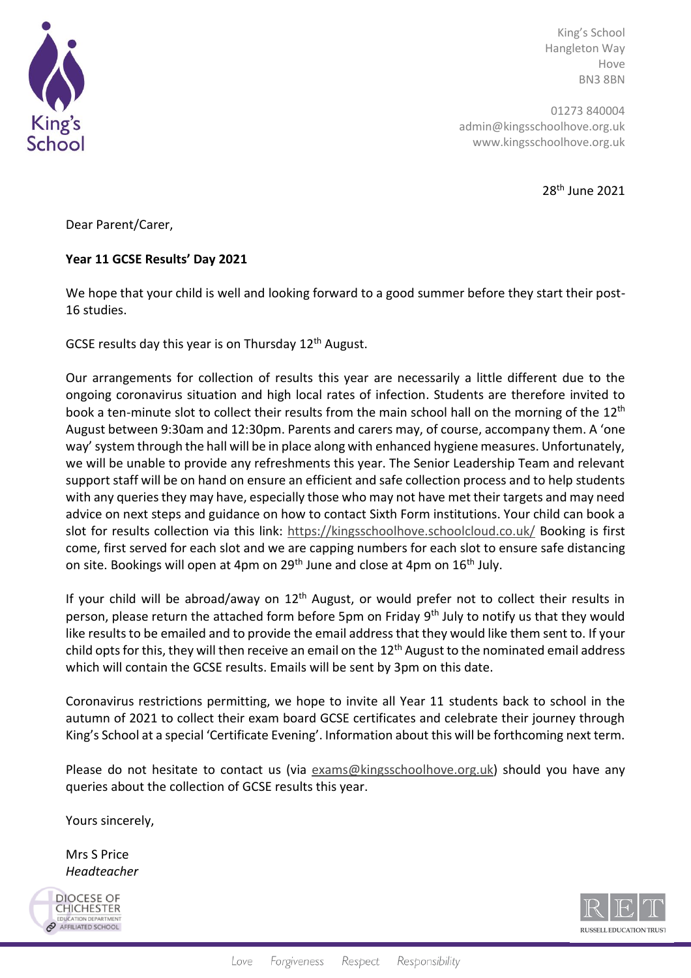

King's School Hangleton Way Hove BN3 8BN

01273 840004 admin@kingsschoolhove.org.uk www.kingsschoolhove.org.uk

28th June 2021

Dear Parent/Carer,

## **Year 11 GCSE Results' Day 2021**

We hope that your child is well and looking forward to a good summer before they start their post-16 studies.

GCSE results day this year is on Thursday 12<sup>th</sup> August.

Our arrangements for collection of results this year are necessarily a little different due to the ongoing coronavirus situation and high local rates of infection. Students are therefore invited to book a ten-minute slot to collect their results from the main school hall on the morning of the 12<sup>th</sup> August between 9:30am and 12:30pm. Parents and carers may, of course, accompany them. A 'one way' system through the hall will be in place along with enhanced hygiene measures. Unfortunately, we will be unable to provide any refreshments this year. The Senior Leadership Team and relevant support staff will be on hand on ensure an efficient and safe collection process and to help students with any queries they may have, especially those who may not have met their targets and may need advice on next steps and guidance on how to contact Sixth Form institutions. Your child can book a slot for results collection via this link:<https://kingsschoolhove.schoolcloud.co.uk/> Booking is first come, first served for each slot and we are capping numbers for each slot to ensure safe distancing on site. Bookings will open at 4pm on 29<sup>th</sup> June and close at 4pm on 16<sup>th</sup> July.

If your child will be abroad/away on  $12<sup>th</sup>$  August, or would prefer not to collect their results in person, please return the attached form before 5pm on Friday 9<sup>th</sup> July to notify us that they would like results to be emailed and to provide the email address that they would like them sent to. If your child opts for this, they will then receive an email on the  $12<sup>th</sup>$  August to the nominated email address which will contain the GCSE results. Emails will be sent by 3pm on this date.

Coronavirus restrictions permitting, we hope to invite all Year 11 students back to school in the autumn of 2021 to collect their exam board GCSE certificates and celebrate their journey through King's School at a special 'Certificate Evening'. Information about this will be forthcoming next term.

Please do not hesitate to contact us (via [exams@kingsschoolhove.org.uk\)](mailto:exams@kingsschoolhove.org.uk) should you have any queries about the collection of GCSE results this year.

Yours sincerely,

Mrs S Price *Headteacher*